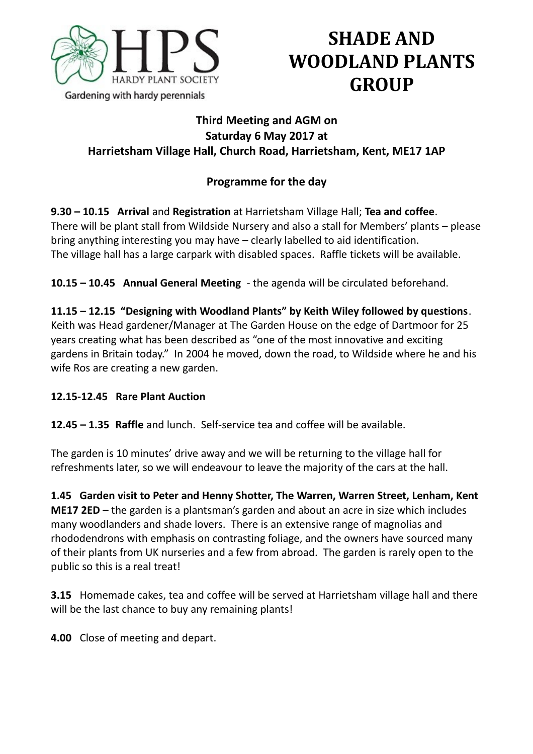

# **SHADE AND WOODLAND PLANTS GROUP**

## **Third Meeting and AGM on Saturday 6 May 2017 at Harrietsham Village Hall, Church Road, Harrietsham, Kent, ME17 1AP**

# **Programme for the day**

**9.30 – 10.15 Arrival** and **Registration** at Harrietsham Village Hall; **Tea and coffee**. There will be plant stall from Wildside Nursery and also a stall for Members' plants – please bring anything interesting you may have – clearly labelled to aid identification. The village hall has a large carpark with disabled spaces. Raffle tickets will be available.

**10.15 – 10.45 Annual General Meeting** - the agenda will be circulated beforehand.

**11.15 – 12.15 "Designing with Woodland Plants" by Keith Wiley followed by questions**. Keith was Head gardener/Manager at The Garden House on the edge of Dartmoor for 25 years creating what has been described as "one of the most innovative and exciting gardens in Britain today." In 2004 he moved, down the road, to Wildside where he and his wife Ros are creating a new garden.

## **12.15-12.45 Rare Plant Auction**

**12.45 – 1.35 Raffle** and lunch. Self-service tea and coffee will be available.

The garden is 10 minutes' drive away and we will be returning to the village hall for refreshments later, so we will endeavour to leave the majority of the cars at the hall.

**1.45 Garden visit to Peter and Henny Shotter, The Warren, Warren Street, Lenham, Kent ME17 2ED** – the garden is a plantsman's garden and about an acre in size which includes many woodlanders and shade lovers. There is an extensive range of magnolias and rhododendrons with emphasis on contrasting foliage, and the owners have sourced many of their plants from UK nurseries and a few from abroad. The garden is rarely open to the public so this is a real treat!

**3.15** Homemade cakes, tea and coffee will be served at Harrietsham village hall and there will be the last chance to buy any remaining plants!

**4.00** Close of meeting and depart.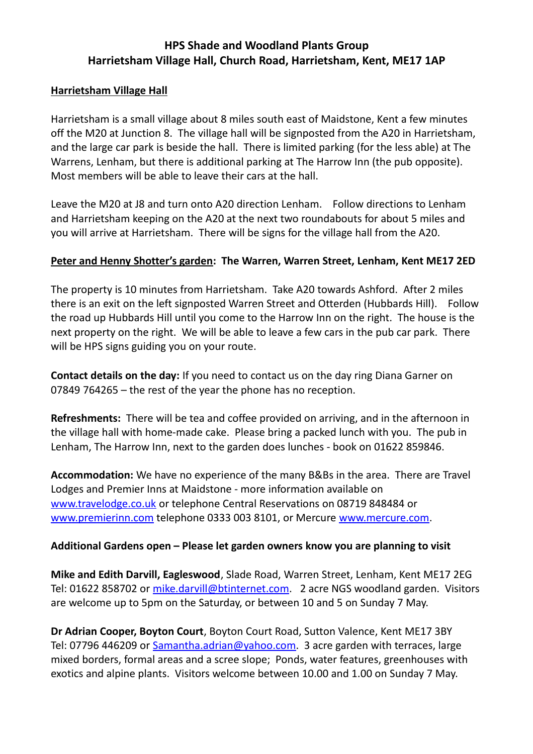## **HPS Shade and Woodland Plants Group Harrietsham Village Hall, Church Road, Harrietsham, Kent, ME17 1AP**

#### **Harrietsham Village Hall**

Harrietsham is a small village about 8 miles south east of Maidstone, Kent a few minutes off the M20 at Junction 8. The village hall will be signposted from the A20 in Harrietsham, and the large car park is beside the hall. There is limited parking (for the less able) at The Warrens, Lenham, but there is additional parking at The Harrow Inn (the pub opposite). Most members will be able to leave their cars at the hall.

Leave the M20 at J8 and turn onto A20 direction Lenham. Follow directions to Lenham and Harrietsham keeping on the A20 at the next two roundabouts for about 5 miles and you will arrive at Harrietsham. There will be signs for the village hall from the A20.

#### **Peter and Henny Shotter's garden: The Warren, Warren Street, Lenham, Kent ME17 2ED**

The property is 10 minutes from Harrietsham. Take A20 towards Ashford. After 2 miles there is an exit on the left signposted Warren Street and Otterden (Hubbards Hill). Follow the road up Hubbards Hill until you come to the Harrow Inn on the right. The house is the next property on the right. We will be able to leave a few cars in the pub car park. There will be HPS signs guiding you on your route.

**Contact details on the day:** If you need to contact us on the day ring Diana Garner on 07849 764265 – the rest of the year the phone has no reception.

**Refreshments:** There will be tea and coffee provided on arriving, and in the afternoon in the village hall with home-made cake. Please bring a packed lunch with you. The pub in Lenham, The Harrow Inn, next to the garden does lunches - book on 01622 859846.

**Accommodation:** We have no experience of the many B&Bs in the area. There are Travel Lodges and Premier Inns at Maidstone - more information available on [www.travelodge.co.uk](http://www.travelodge.co.uk/) or telephone Central Reservations on 08719 848484 or [www.premierinn.com](http://www.premierinn.com/) telephone 0333 003 8101, or Mercure [www.mercure.com.](http://www.mercure.com/)

#### **Additional Gardens open – Please let garden owners know you are planning to visit**

**Mike and Edith Darvill, Eagleswood**, Slade Road, Warren Street, Lenham, Kent ME17 2EG Tel: 01622 858702 or [mike.darvill@btinternet.com.](mailto:mike.darvill@btinternet.com) 2 acre NGS woodland garden. Visitors are welcome up to 5pm on the Saturday, or between 10 and 5 on Sunday 7 May.

**Dr Adrian Cooper, Boyton Court**, Boyton Court Road, Sutton Valence, Kent ME17 3BY Tel: 07796 446209 or **Samantha.adrian@yahoo.com.** 3 acre garden with terraces, large mixed borders, formal areas and a scree slope; Ponds, water features, greenhouses with exotics and alpine plants. Visitors welcome between 10.00 and 1.00 on Sunday 7 May.